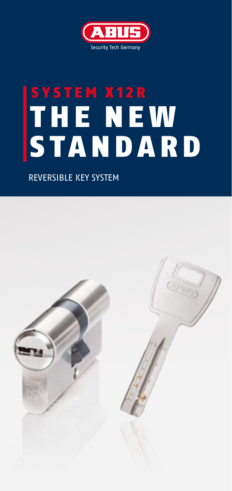

# SYSTEM X12R T HE NE W STANDARD

REVERSIBLE KEY SYSTEM

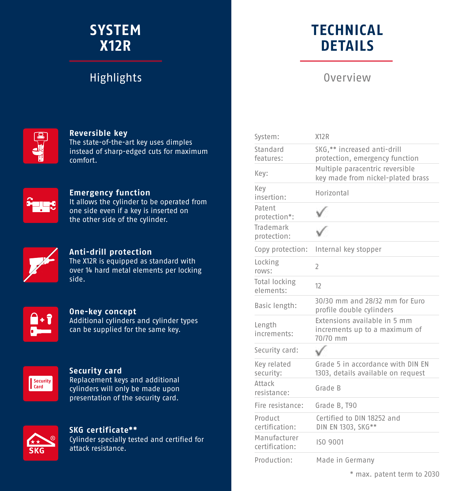### **SYSTEM X12R**

### **Highlights**

## **TECHNICAL DETAILS**

### Overview

System: Y12P



#### **Reversible key**

The state-of-the-art key uses dimples instead of sharp-edged cuts for maximum comfort.



#### **Emergency function**

It allows the cylinder to be operated from one side even if a key is inserted on the other side of the cylinder.



#### **Anti-drill protection**

The X12R is equipped as standard with over 14 hard metal elements per locking side.



#### **One-key concept** Additional cylinders and cylinder types can be supplied for the same key.



#### **Security card**

Replacement keys and additional cylinders will only be made upon presentation of the security card.



#### **SKG certificate\*\***

Cylinder specially tested and certified for attack resistance.

| JyJL CIII.                        |                                                                           |
|-----------------------------------|---------------------------------------------------------------------------|
| Standard<br>features:             | SKG,** increased anti-drill<br>protection, emergency function             |
| Key:                              | Multiple paracentric reversible<br>key made from nickel-plated brass      |
| Key<br>insertion:                 | Horizontal                                                                |
| Patent<br>protection*:            |                                                                           |
| Trademark<br>protection:          |                                                                           |
| Copy protection:                  | Internal key stopper                                                      |
| Locking<br>rows:                  | $\overline{\phantom{a}}$                                                  |
| <b>Total locking</b><br>elements: | 12                                                                        |
| Basic length:                     | 30/30 mm and 28/32 mm for Euro<br>profile double cylinders                |
| Length<br>increments:             | Extensions available in 5 mm<br>increments up to a maximum of<br>70/70 mm |
| Security card:                    |                                                                           |
| Key related<br>security:          | Grade 5 in accordance with DIN EN<br>1303, details available on request   |
| Attack<br>resistance:             | Grade B                                                                   |
| Fire resistance:                  | Grade B, T90                                                              |
| Product<br>certification:         | Certified to DIN 18252 and<br>DIN EN 1303, SKG**                          |
| Manufacturer<br>certification:    | ISO 9001                                                                  |
| Production:                       | Made in Germany                                                           |

\* max. patent term to 2030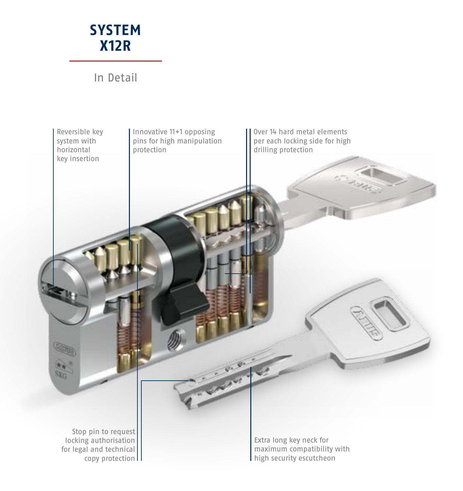

In Detail

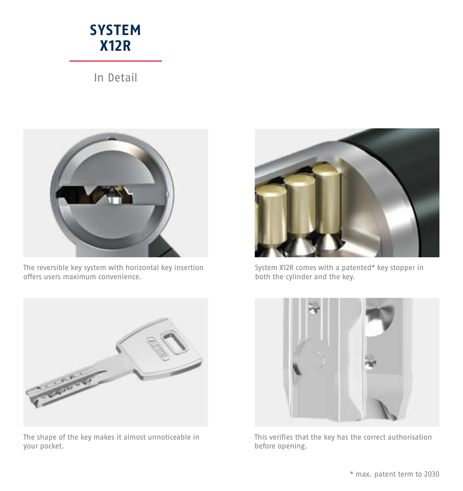### **SYSTEM X12R**

In Detail



The reversible key system with horizontal key insertion offers users maximum convenience.



System X12R comes with a patented\* key stopper in both the cylinder and the key.



The shape of the key makes it almost unnoticeable in your pocket.



This verifies that the key has the correct authorisation before opening.